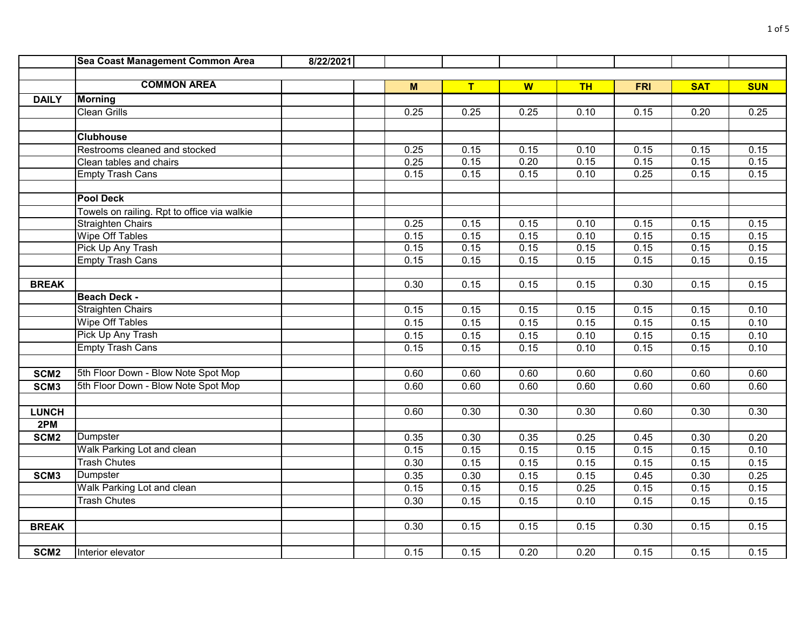|                  | Sea Coast Management Common Area            | 8/22/2021 |      |      |      |           |            |            |            |
|------------------|---------------------------------------------|-----------|------|------|------|-----------|------------|------------|------------|
|                  |                                             |           |      |      |      |           |            |            |            |
|                  | <b>COMMON AREA</b>                          |           | M    | T    | W    | <b>TH</b> | <b>FRI</b> | <b>SAT</b> | <b>SUN</b> |
| <b>DAILY</b>     | <b>Morning</b>                              |           |      |      |      |           |            |            |            |
|                  | <b>Clean Grills</b>                         |           | 0.25 | 0.25 | 0.25 | 0.10      | 0.15       | 0.20       | 0.25       |
|                  |                                             |           |      |      |      |           |            |            |            |
|                  | <b>Clubhouse</b>                            |           |      |      |      |           |            |            |            |
|                  | Restrooms cleaned and stocked               |           | 0.25 | 0.15 | 0.15 | 0.10      | 0.15       | 0.15       | 0.15       |
|                  | Clean tables and chairs                     |           | 0.25 | 0.15 | 0.20 | 0.15      | 0.15       | 0.15       | 0.15       |
|                  | <b>Empty Trash Cans</b>                     |           | 0.15 | 0.15 | 0.15 | 0.10      | 0.25       | 0.15       | 0.15       |
|                  |                                             |           |      |      |      |           |            |            |            |
|                  | <b>Pool Deck</b>                            |           |      |      |      |           |            |            |            |
|                  | Towels on railing. Rpt to office via walkie |           |      |      |      |           |            |            |            |
|                  | <b>Straighten Chairs</b>                    |           | 0.25 | 0.15 | 0.15 | 0.10      | 0.15       | 0.15       | 0.15       |
|                  | Wipe Off Tables                             |           | 0.15 | 0.15 | 0.15 | 0.10      | 0.15       | 0.15       | 0.15       |
|                  | Pick Up Any Trash                           |           | 0.15 | 0.15 | 0.15 | 0.15      | 0.15       | 0.15       | 0.15       |
|                  | <b>Empty Trash Cans</b>                     |           | 0.15 | 0.15 | 0.15 | 0.15      | 0.15       | 0.15       | 0.15       |
|                  |                                             |           |      |      |      |           |            |            |            |
| <b>BREAK</b>     |                                             |           | 0.30 | 0.15 | 0.15 | 0.15      | 0.30       | 0.15       | 0.15       |
|                  | <b>Beach Deck -</b>                         |           |      |      |      |           |            |            |            |
|                  | <b>Straighten Chairs</b>                    |           | 0.15 | 0.15 | 0.15 | 0.15      | 0.15       | 0.15       | 0.10       |
|                  | <b>Wipe Off Tables</b>                      |           | 0.15 | 0.15 | 0.15 | 0.15      | 0.15       | 0.15       | 0.10       |
|                  | Pick Up Any Trash                           |           | 0.15 | 0.15 | 0.15 | 0.10      | 0.15       | 0.15       | 0.10       |
|                  | <b>Empty Trash Cans</b>                     |           | 0.15 | 0.15 | 0.15 | 0.10      | 0.15       | 0.15       | 0.10       |
|                  |                                             |           |      |      |      |           |            |            |            |
| SCM <sub>2</sub> | 5th Floor Down - Blow Note Spot Mop         |           | 0.60 | 0.60 | 0.60 | 0.60      | 0.60       | 0.60       | 0.60       |
| SCM <sub>3</sub> | 5th Floor Down - Blow Note Spot Mop         |           | 0.60 | 0.60 | 0.60 | 0.60      | 0.60       | 0.60       | 0.60       |
|                  |                                             |           |      |      |      |           |            |            |            |
| <b>LUNCH</b>     |                                             |           | 0.60 | 0.30 | 0.30 | 0.30      | 0.60       | 0.30       | 0.30       |
| 2PM              |                                             |           |      |      |      |           |            |            |            |
| SCM <sub>2</sub> | Dumpster                                    |           | 0.35 | 0.30 | 0.35 | 0.25      | 0.45       | 0.30       | 0.20       |
|                  | Walk Parking Lot and clean                  |           | 0.15 | 0.15 | 0.15 | 0.15      | 0.15       | 0.15       | 0.10       |
|                  | <b>Trash Chutes</b>                         |           | 0.30 | 0.15 | 0.15 | 0.15      | 0.15       | 0.15       | 0.15       |
| SCM <sub>3</sub> | Dumpster                                    |           | 0.35 | 0.30 | 0.15 | 0.15      | 0.45       | 0.30       | 0.25       |
|                  | Walk Parking Lot and clean                  |           | 0.15 | 0.15 | 0.15 | 0.25      | 0.15       | 0.15       | 0.15       |
|                  | <b>Trash Chutes</b>                         |           | 0.30 | 0.15 | 0.15 | 0.10      | 0.15       | 0.15       | 0.15       |
|                  |                                             |           |      |      |      |           |            |            |            |
| <b>BREAK</b>     |                                             |           | 0.30 | 0.15 | 0.15 | 0.15      | 0.30       | 0.15       | 0.15       |
|                  |                                             |           |      |      |      |           |            |            |            |
| SCM <sub>2</sub> | Interior elevator                           |           | 0.15 | 0.15 | 0.20 | 0.20      | 0.15       | 0.15       | 0.15       |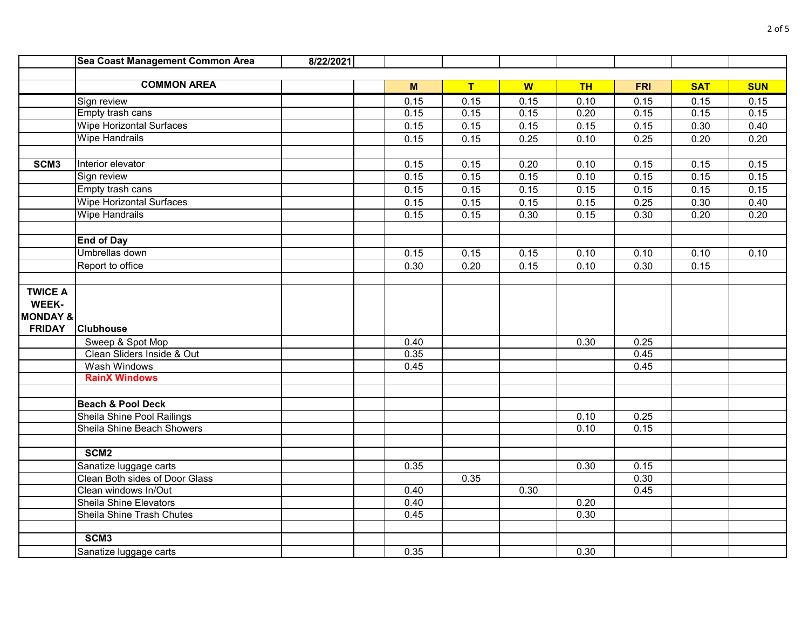|                         | Sea Coast Management Common Area | 8/22/2021 |      |      |      |           |            |            |            |
|-------------------------|----------------------------------|-----------|------|------|------|-----------|------------|------------|------------|
|                         |                                  |           |      |      |      |           |            |            |            |
|                         | <b>COMMON AREA</b>               |           | M    | T    | W    | <b>TH</b> | <b>FRI</b> | <b>SAT</b> | <b>SUN</b> |
|                         | Sign review                      |           | 0.15 | 0.15 | 0.15 | 0.10      | 0.15       | 0.15       | 0.15       |
|                         | Empty trash cans                 |           | 0.15 | 0.15 | 0.15 | 0.20      | 0.15       | 0.15       | 0.15       |
|                         | <b>Wipe Horizontal Surfaces</b>  |           | 0.15 | 0.15 | 0.15 | 0.15      | 0.15       | 0.30       | 0.40       |
|                         | <b>Wipe Handrails</b>            |           | 0.15 | 0.15 | 0.25 | 0.10      | 0.25       | 0.20       | 0.20       |
|                         |                                  |           |      |      |      |           |            |            |            |
| SCM <sub>3</sub>        | Interior elevator                |           | 0.15 | 0.15 | 0.20 | 0.10      | 0.15       | 0.15       | 0.15       |
|                         | Sign review                      |           | 0.15 | 0.15 | 0.15 | 0.10      | 0.15       | 0.15       | 0.15       |
|                         | Empty trash cans                 |           | 0.15 | 0.15 | 0.15 | 0.15      | 0.15       | 0.15       | 0.15       |
|                         | <b>Wipe Horizontal Surfaces</b>  |           | 0.15 | 0.15 | 0.15 | 0.15      | 0.25       | 0.30       | 0.40       |
|                         | <b>Wipe Handrails</b>            |           | 0.15 | 0.15 | 0.30 | 0.15      | 0.30       | 0.20       | 0.20       |
|                         |                                  |           |      |      |      |           |            |            |            |
|                         | <b>End of Day</b>                |           |      |      |      |           |            |            |            |
|                         | Umbrellas down                   |           | 0.15 | 0.15 | 0.15 | 0.10      | 0.10       | 0.10       | 0.10       |
|                         | Report to office                 |           | 0.30 | 0.20 | 0.15 | 0.10      | 0.30       | 0.15       |            |
|                         |                                  |           |      |      |      |           |            |            |            |
| <b>TWICE A</b><br>WEEK- |                                  |           |      |      |      |           |            |            |            |
| <b>MONDAY &amp;</b>     |                                  |           |      |      |      |           |            |            |            |
| <b>FRIDAY</b>           | <b>Clubhouse</b>                 |           |      |      |      |           |            |            |            |
|                         | Sweep & Spot Mop                 |           | 0.40 |      |      | 0.30      | 0.25       |            |            |
|                         | Clean Sliders Inside & Out       |           | 0.35 |      |      |           | 0.45       |            |            |
|                         | Wash Windows                     |           | 0.45 |      |      |           | 0.45       |            |            |
|                         | <b>RainX Windows</b>             |           |      |      |      |           |            |            |            |
|                         |                                  |           |      |      |      |           |            |            |            |
|                         | <b>Beach &amp; Pool Deck</b>     |           |      |      |      |           |            |            |            |
|                         | Sheila Shine Pool Railings       |           |      |      |      | 0.10      | 0.25       |            |            |
|                         | Sheila Shine Beach Showers       |           |      |      |      | 0.10      | 0.15       |            |            |
|                         |                                  |           |      |      |      |           |            |            |            |
|                         | SCM <sub>2</sub>                 |           |      |      |      |           |            |            |            |
|                         | Sanatize luggage carts           |           | 0.35 |      |      | 0.30      | 0.15       |            |            |
|                         | Clean Both sides of Door Glass   |           |      | 0.35 |      |           | 0.30       |            |            |
|                         | Clean windows In/Out             |           | 0.40 |      | 0.30 |           | 0.45       |            |            |
|                         | <b>Sheila Shine Elevators</b>    |           | 0.40 |      |      | 0.20      |            |            |            |
|                         | Sheila Shine Trash Chutes        |           | 0.45 |      |      | 0.30      |            |            |            |
|                         |                                  |           |      |      |      |           |            |            |            |
|                         | SCM <sub>3</sub>                 |           |      |      |      |           |            |            |            |
|                         | Sanatize luggage carts           |           | 0.35 |      |      | 0.30      |            |            |            |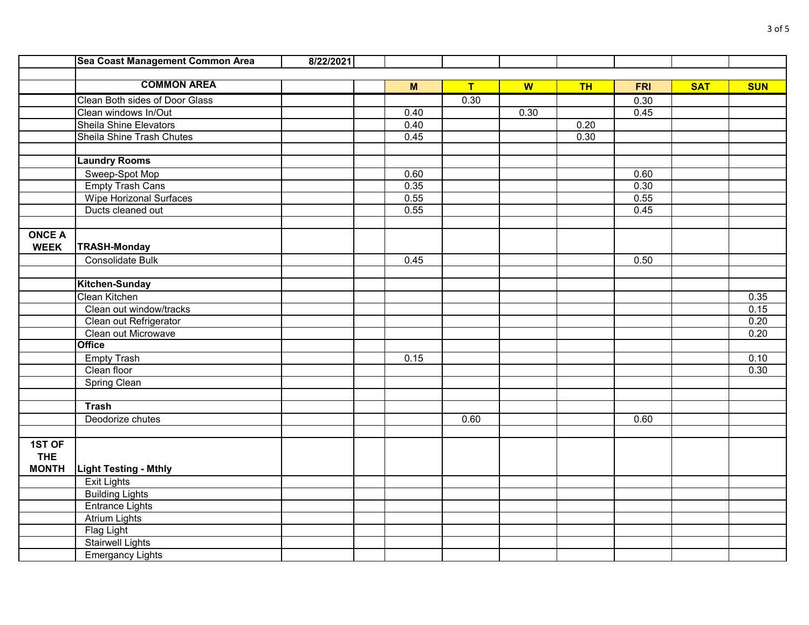|               | Sea Coast Management Common Area | 8/22/2021 |      |                |      |           |            |            |            |
|---------------|----------------------------------|-----------|------|----------------|------|-----------|------------|------------|------------|
|               |                                  |           |      |                |      |           |            |            |            |
|               | <b>COMMON AREA</b>               |           | M    | $\overline{T}$ | W    | <b>TH</b> | <b>FRI</b> | <b>SAT</b> | <b>SUN</b> |
|               | Clean Both sides of Door Glass   |           |      | 0.30           |      |           | 0.30       |            |            |
|               | Clean windows In/Out             |           | 0.40 |                | 0.30 |           | 0.45       |            |            |
|               | <b>Sheila Shine Elevators</b>    |           | 0.40 |                |      | 0.20      |            |            |            |
|               | Sheila Shine Trash Chutes        |           | 0.45 |                |      | 0.30      |            |            |            |
|               |                                  |           |      |                |      |           |            |            |            |
|               | <b>Laundry Rooms</b>             |           |      |                |      |           |            |            |            |
|               | Sweep-Spot Mop                   |           | 0.60 |                |      |           | 0.60       |            |            |
|               | <b>Empty Trash Cans</b>          |           | 0.35 |                |      |           | 0.30       |            |            |
|               | Wipe Horizonal Surfaces          |           | 0.55 |                |      |           | 0.55       |            |            |
|               | Ducts cleaned out                |           | 0.55 |                |      |           | 0.45       |            |            |
|               |                                  |           |      |                |      |           |            |            |            |
| <b>ONCE A</b> |                                  |           |      |                |      |           |            |            |            |
| <b>WEEK</b>   | <b>TRASH-Monday</b>              |           |      |                |      |           |            |            |            |
|               | Consolidate Bulk                 |           | 0.45 |                |      |           | 0.50       |            |            |
|               |                                  |           |      |                |      |           |            |            |            |
|               | <b>Kitchen-Sunday</b>            |           |      |                |      |           |            |            |            |
|               | Clean Kitchen                    |           |      |                |      |           |            |            | 0.35       |
|               | Clean out window/tracks          |           |      |                |      |           |            |            | 0.15       |
|               | Clean out Refrigerator           |           |      |                |      |           |            |            | 0.20       |
|               | Clean out Microwave              |           |      |                |      |           |            |            | 0.20       |
|               | <b>Office</b>                    |           |      |                |      |           |            |            |            |
|               | <b>Empty Trash</b>               |           | 0.15 |                |      |           |            |            | 0.10       |
|               | Clean floor                      |           |      |                |      |           |            |            | 0.30       |
|               | <b>Spring Clean</b>              |           |      |                |      |           |            |            |            |
|               |                                  |           |      |                |      |           |            |            |            |
|               | <b>Trash</b>                     |           |      |                |      |           |            |            |            |
|               | Deodorize chutes                 |           |      | 0.60           |      |           | 0.60       |            |            |
|               |                                  |           |      |                |      |           |            |            |            |
| 1ST OF        |                                  |           |      |                |      |           |            |            |            |
| <b>THE</b>    |                                  |           |      |                |      |           |            |            |            |
| <b>MONTH</b>  | <b>Light Testing - Mthly</b>     |           |      |                |      |           |            |            |            |
|               | <b>Exit Lights</b>               |           |      |                |      |           |            |            |            |
|               | <b>Building Lights</b>           |           |      |                |      |           |            |            |            |
|               | <b>Entrance Lights</b>           |           |      |                |      |           |            |            |            |
|               | <b>Atrium Lights</b>             |           |      |                |      |           |            |            |            |
|               | <b>Flag Light</b>                |           |      |                |      |           |            |            |            |
|               | <b>Stairwell Lights</b>          |           |      |                |      |           |            |            |            |
|               | <b>Emergancy Lights</b>          |           |      |                |      |           |            |            |            |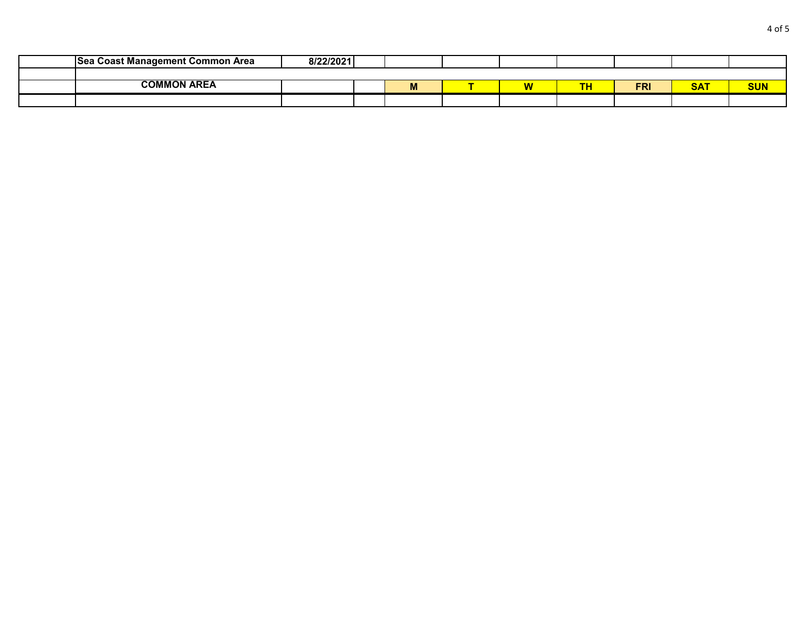| <b>ISea Coast Management Common Area</b> | 8/22/2021 |   |              |          |            |                   |            |
|------------------------------------------|-----------|---|--------------|----------|------------|-------------------|------------|
|                                          |           |   |              |          |            |                   |            |
| <b>COMMON AREA</b>                       |           | M | <b>B.A.A</b> | ŦЦ<br>ıп | <b>FRI</b> | <b>SAT</b><br>oni | <b>SUN</b> |
|                                          |           |   |              |          |            |                   |            |